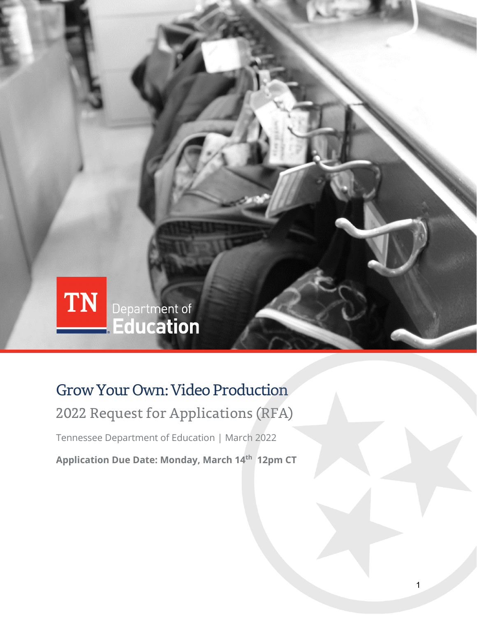

## Grow Your Own: Video Production

## 2022 Request for Applications (RFA)

Tennessee Department of Education | March 2022

**Application Due Date: Monday, March 14th 12pm CT**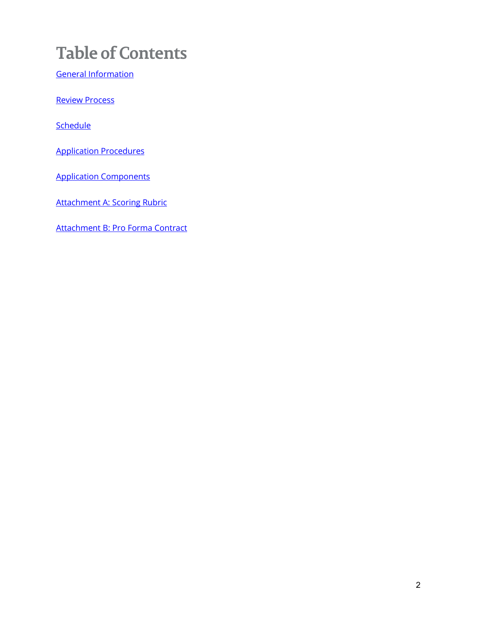# **Table of Contents**

[General Information](#page-2-0)

[Review Process](#page-3-0)

**[Schedule](#page-3-1)** 

[Application Procedures](#page-3-2)

[Application Components](#page-3-3)

Attachment [A: Scoring Rubric](#page-5-0)

[Attachment B: Pro Forma Contract](#page-6-0)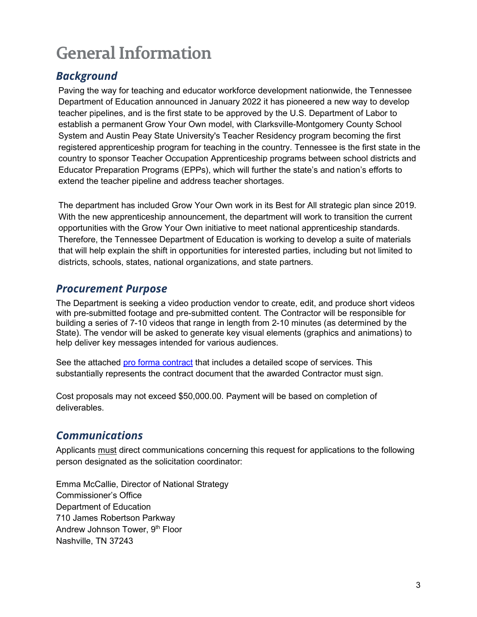# <span id="page-2-0"></span>**General Information**

### *Background*

Paving the way for teaching and educator workforce development nationwide, the Tennessee Department of Education announced in January 2022 it has pioneered a new way to develop teacher pipelines, and is the first state to be approved by the U.S. Department of Labor to establish a permanent Grow Your Own model, with Clarksville-Montgomery County School System and Austin Peay State University's Teacher Residency program becoming the first registered apprenticeship program for teaching in the country. Tennessee is the first state in the country to sponsor Teacher Occupation Apprenticeship programs between school districts and Educator Preparation Programs (EPPs), which will further the state's and nation's efforts to extend the teacher pipeline and address teacher shortages.

The department has included Grow Your Own work in its Best for All strategic plan since 2019. With the new apprenticeship announcement, the department will work to transition the current opportunities with the Grow Your Own initiative to meet national apprenticeship standards. Therefore, the Tennessee Department of Education is working to develop a suite of materials that will help explain the shift in opportunities for interested parties, including but not limited to districts, schools, states, national organizations, and state partners.

### *Procurement Purpose*

The Department is seeking a video production vendor to create, edit, and produce short videos with pre-submitted footage and pre-submitted content. The Contractor will be responsible for building a series of 7-10 videos that range in length from 2-10 minutes (as determined by the State). The vendor will be asked to generate key visual elements (graphics and animations) to help deliver key messages intended for various audiences.

See the attached [pro forma contract](#page-6-0) that includes a detailed scope of services. This substantially represents the contract document that the awarded Contractor must sign.

Cost proposals may not exceed \$50,000.00. Payment will be based on completion of deliverables.

### *Communications*

Applicants must direct communications concerning this request for applications to the following person designated as the solicitation coordinator:

Emma McCallie, Director of National Strategy Commissioner's Office Department of Education 710 James Robertson Parkway Andrew Johnson Tower, 9th Floor Nashville, TN 37243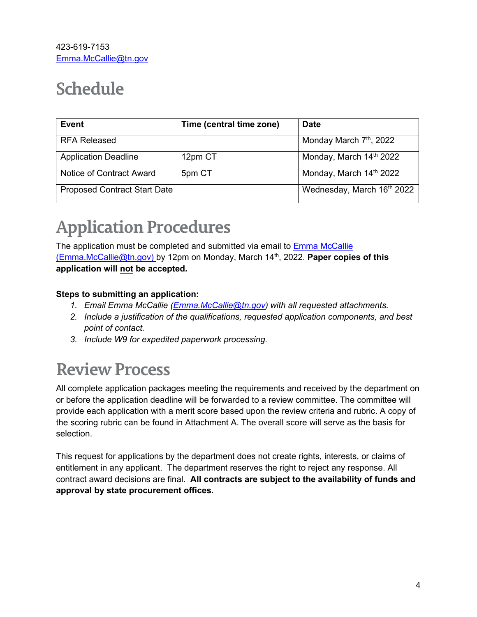# <span id="page-3-1"></span><span id="page-3-0"></span>**Schedule**

| <b>Event</b>                        | Time (central time zone) | <b>Date</b>                         |
|-------------------------------------|--------------------------|-------------------------------------|
| <b>RFA Released</b>                 |                          | Monday March 7 <sup>th</sup> , 2022 |
| <b>Application Deadline</b>         | 12pm CT                  | Monday, March 14th 2022             |
| Notice of Contract Award            | 5pm CT                   | Monday, March 14th 2022             |
| <b>Proposed Contract Start Date</b> |                          | Wednesday, March 16th 2022          |

# <span id="page-3-2"></span>**Application Procedures**

The application must be completed and submitted via email to Emma McCallie (Emma.McCallie@tn.gov) by 12pm on Monday, March 14th, 2022. **Paper copies of this application will not be accepted.**

### **Steps to submitting an application:**

- *1. Email Emma McCallie [\(Emma.McCallie@tn.gov\)](mailto:Emma.McCallie@tn.gov) with all requested attachments.*
- *2. Include a justification of the qualifications, requested application components, and best point of contact.*
- *3. Include W9 for expedited paperwork processing.*

## **Review Process**

All complete application packages meeting the requirements and received by the department on or before the application deadline will be forwarded to a review committee. The committee will provide each application with a merit score based upon the review criteria and rubric. A copy of the scoring rubric can be found in Attachment A. The overall score will serve as the basis for selection.

<span id="page-3-3"></span>This request for applications by the department does not create rights, interests, or claims of entitlement in any applicant. The department reserves the right to reject any response. All contract award decisions are final. **All contracts are subject to the availability of funds and approval by state procurement offices.**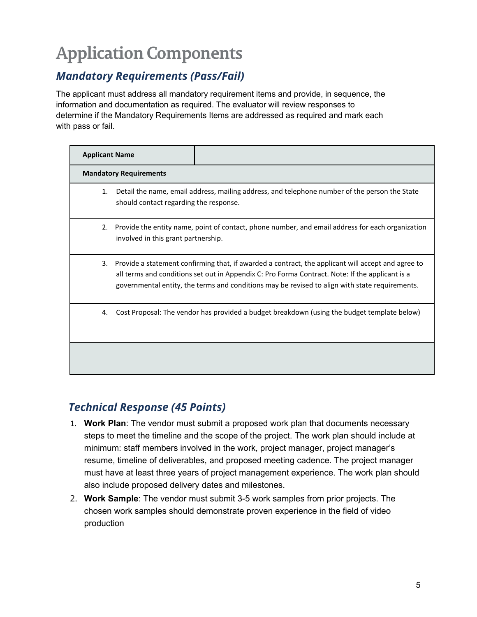# **Application Components**

## *Mandatory Requirements (Pass/Fail)*

The applicant must address all mandatory requirement items and provide, in sequence, the information and documentation as required. The evaluator will review responses to determine if the Mandatory Requirements Items are addressed as required and mark each with pass or fail.

| <b>Applicant Name</b>                        |                                                                                                                                                                                                                                                                                                         |
|----------------------------------------------|---------------------------------------------------------------------------------------------------------------------------------------------------------------------------------------------------------------------------------------------------------------------------------------------------------|
| <b>Mandatory Requirements</b>                |                                                                                                                                                                                                                                                                                                         |
| 1.<br>should contact regarding the response. | Detail the name, email address, mailing address, and telephone number of the person the State                                                                                                                                                                                                           |
| involved in this grant partnership.          | 2. Provide the entity name, point of contact, phone number, and email address for each organization                                                                                                                                                                                                     |
| 3.                                           | Provide a statement confirming that, if awarded a contract, the applicant will accept and agree to<br>all terms and conditions set out in Appendix C: Pro Forma Contract. Note: If the applicant is a<br>governmental entity, the terms and conditions may be revised to align with state requirements. |
| 4.                                           | Cost Proposal: The vendor has provided a budget breakdown (using the budget template below)                                                                                                                                                                                                             |
|                                              |                                                                                                                                                                                                                                                                                                         |

### *Technical Response (45 Points)*

- 1. **Work Plan**: The vendor must submit a proposed work plan that documents necessary steps to meet the timeline and the scope of the project. The work plan should include at minimum: staff members involved in the work, project manager, project manager's resume, timeline of deliverables, and proposed meeting cadence. The project manager must have at least three years of project management experience. The work plan should also include proposed delivery dates and milestones.
- 2. **Work Sample**: The vendor must submit 3-5 work samples from prior projects. The chosen work samples should demonstrate proven experience in the field of video production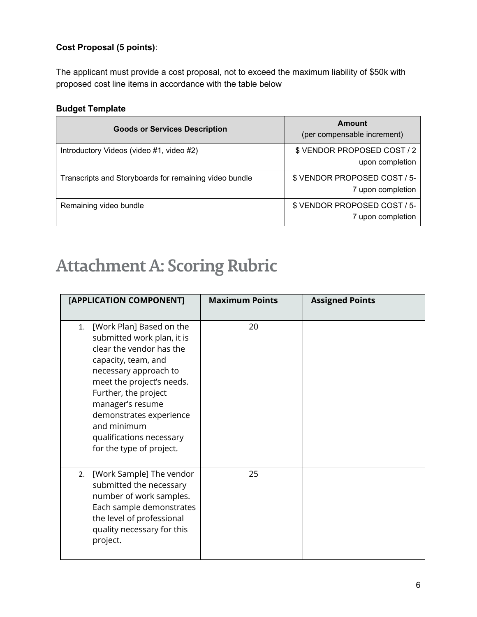### **Cost Proposal (5 points)**:

The applicant must provide a cost proposal, not to exceed the maximum liability of \$50k with proposed cost line items in accordance with the table below

### **Budget Template**

| <b>Goods or Services Description</b>                   | Amount<br>(per compensable increment)             |
|--------------------------------------------------------|---------------------------------------------------|
| Introductory Videos (video #1, video #2)               | \$ VENDOR PROPOSED COST / 2<br>upon completion    |
| Transcripts and Storyboards for remaining video bundle | \$ VENDOR PROPOSED COST / 5-<br>7 upon completion |
| Remaining video bundle                                 | \$ VENDOR PROPOSED COST / 5-<br>7 upon completion |

## <span id="page-5-0"></span>**Attachment A: Scoring Rubric**

| [APPLICATION COMPONENT]                                                                                                                                                                                                                                                                                             | <b>Maximum Points</b> | <b>Assigned Points</b> |
|---------------------------------------------------------------------------------------------------------------------------------------------------------------------------------------------------------------------------------------------------------------------------------------------------------------------|-----------------------|------------------------|
| [Work Plan] Based on the<br>1.<br>submitted work plan, it is<br>clear the vendor has the<br>capacity, team, and<br>necessary approach to<br>meet the project's needs.<br>Further, the project<br>manager's resume<br>demonstrates experience<br>and minimum<br>qualifications necessary<br>for the type of project. | 20                    |                        |
| [Work Sample] The vendor<br>2.<br>submitted the necessary<br>number of work samples.<br>Each sample demonstrates<br>the level of professional<br>quality necessary for this<br>project.                                                                                                                             | 25                    |                        |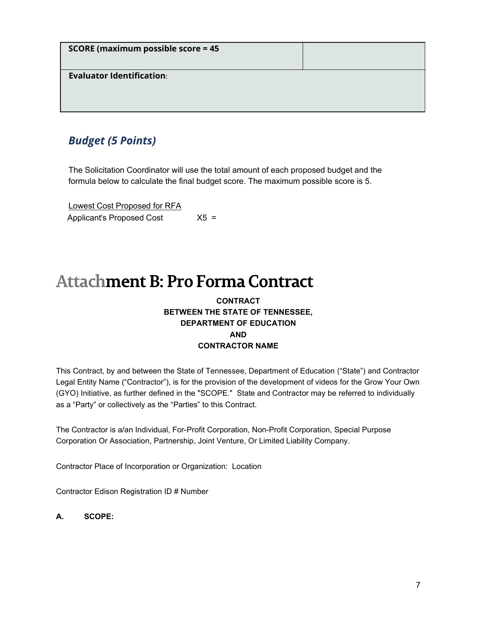| <b>SCORE (maximum possible score = 45</b> |  |
|-------------------------------------------|--|
| <b>Evaluator Identification:</b>          |  |

### <span id="page-6-0"></span>*Budget (5 Points)*

The Solicitation Coordinator will use the total amount of each proposed budget and the formula below to calculate the final budget score. The maximum possible score is 5.

| Lowest Cost Proposed for RFA |        |
|------------------------------|--------|
| Applicant's Proposed Cost    | $X5 =$ |

## **Attachment B: Pro Forma Contract**

### **CONTRACT BETWEEN THE STATE OF TENNESSEE, DEPARTMENT OF EDUCATION AND CONTRACTOR NAME**

This Contract, by and between the State of Tennessee, Department of Education ("State") and Contractor Legal Entity Name ("Contractor"), is for the provision of the development of videos for the Grow Your Own (GYO) Initiative, as further defined in the "SCOPE." State and Contractor may be referred to individually as a "Party" or collectively as the "Parties" to this Contract.

The Contractor is a/an Individual, For-Profit Corporation, Non-Profit Corporation, Special Purpose Corporation Or Association, Partnership, Joint Venture, Or Limited Liability Company.

Contractor Place of Incorporation or Organization: Location

Contractor Edison Registration ID # Number

**A. SCOPE:**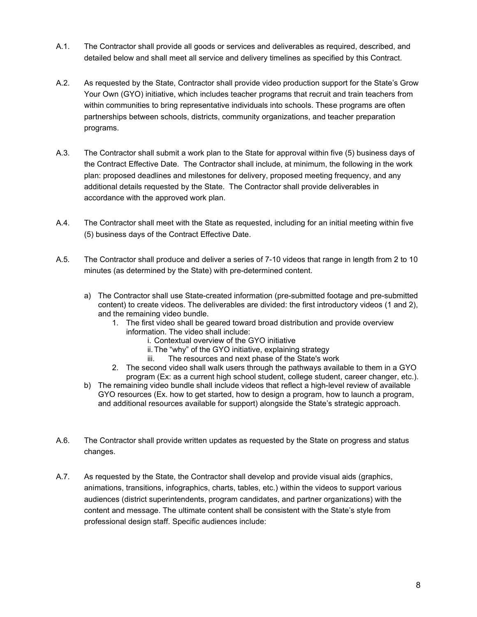- A.1. The Contractor shall provide all goods or services and deliverables as required, described, and detailed below and shall meet all service and delivery timelines as specified by this Contract.
- A.2. As requested by the State, Contractor shall provide video production support for the State's Grow Your Own (GYO) initiative, which includes teacher programs that recruit and train teachers from within communities to bring representative individuals into schools. These programs are often partnerships between schools, districts, community organizations, and teacher preparation programs.
- A.3. The Contractor shall submit a work plan to the State for approval within five (5) business days of the Contract Effective Date. The Contractor shall include, at minimum, the following in the work plan: proposed deadlines and milestones for delivery, proposed meeting frequency, and any additional details requested by the State. The Contractor shall provide deliverables in accordance with the approved work plan.
- A.4. The Contractor shall meet with the State as requested, including for an initial meeting within five (5) business days of the Contract Effective Date.
- A.5. The Contractor shall produce and deliver a series of 7-10 videos that range in length from 2 to 10 minutes (as determined by the State) with pre-determined content.
	- a) The Contractor shall use State-created information (pre-submitted footage and pre-submitted content) to create videos. The deliverables are divided: the first introductory videos (1 and 2), and the remaining video bundle.
		- 1. The first video shall be geared toward broad distribution and provide overview information. The video shall include:
			- i. Contextual overview of the GYO initiative
			- ii. The "why" of the GYO initiative, explaining strategy
			- iii. The resources and next phase of the State's work
		- 2. The second video shall walk users through the pathways available to them in a GYO program (Ex: as a current high school student, college student, career changer, etc.).
	- b) The remaining video bundle shall include videos that reflect a high-level review of available GYO resources (Ex. how to get started, how to design a program, how to launch a program, and additional resources available for support) alongside the State's strategic approach.
- A.6. The Contractor shall provide written updates as requested by the State on progress and status changes.
- A.7. As requested by the State, the Contractor shall develop and provide visual aids (graphics, animations, transitions, infographics, charts, tables, etc.) within the videos to support various audiences (district superintendents, program candidates, and partner organizations) with the content and message. The ultimate content shall be consistent with the State's style from professional design staff. Specific audiences include: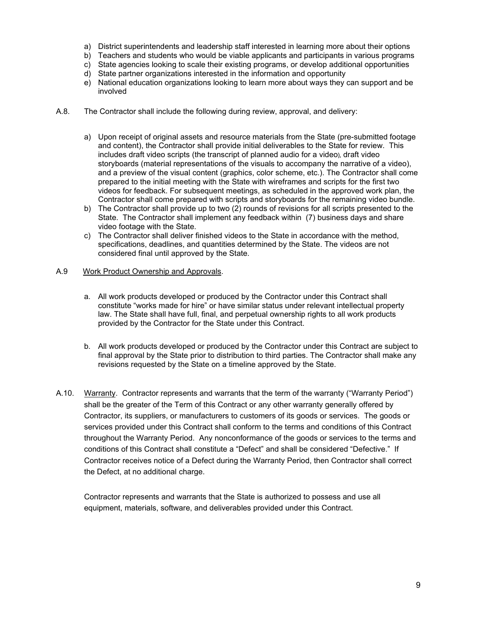- a) District superintendents and leadership staff interested in learning more about their options
- b) Teachers and students who would be viable applicants and participants in various programs
- c) State agencies looking to scale their existing programs, or develop additional opportunities
- d) State partner organizations interested in the information and opportunity
- e) National education organizations looking to learn more about ways they can support and be involved
- A.8. The Contractor shall include the following during review, approval, and delivery:
	- a) Upon receipt of original assets and resource materials from the State (pre-submitted footage and content), the Contractor shall provide initial deliverables to the State for review. This includes draft video scripts (the transcript of planned audio for a video), draft video storyboards (material representations of the visuals to accompany the narrative of a video), and a preview of the visual content (graphics, color scheme, etc.). The Contractor shall come prepared to the initial meeting with the State with wireframes and scripts for the first two videos for feedback. For subsequent meetings, as scheduled in the approved work plan, the Contractor shall come prepared with scripts and storyboards for the remaining video bundle.
	- b) The Contractor shall provide up to two (2) rounds of revisions for all scripts presented to the State. The Contractor shall implement any feedback within (7) business days and share video footage with the State.
	- c) The Contractor shall deliver finished videos to the State in accordance with the method, specifications, deadlines, and quantities determined by the State. The videos are not considered final until approved by the State.
- A.9 Work Product Ownership and Approvals.
	- a. All work products developed or produced by the Contractor under this Contract shall constitute "works made for hire" or have similar status under relevant intellectual property law. The State shall have full, final, and perpetual ownership rights to all work products provided by the Contractor for the State under this Contract.
	- b. All work products developed or produced by the Contractor under this Contract are subject to final approval by the State prior to distribution to third parties. The Contractor shall make any revisions requested by the State on a timeline approved by the State.
- A.10. Warranty. Contractor represents and warrants that the term of the warranty ("Warranty Period") shall be the greater of the Term of this Contract or any other warranty generally offered by Contractor, its suppliers, or manufacturers to customers of its goods or services. The goods or services provided under this Contract shall conform to the terms and conditions of this Contract throughout the Warranty Period. Any nonconformance of the goods or services to the terms and conditions of this Contract shall constitute a "Defect" and shall be considered "Defective." If Contractor receives notice of a Defect during the Warranty Period, then Contractor shall correct the Defect, at no additional charge.

Contractor represents and warrants that the State is authorized to possess and use all equipment, materials, software, and deliverables provided under this Contract.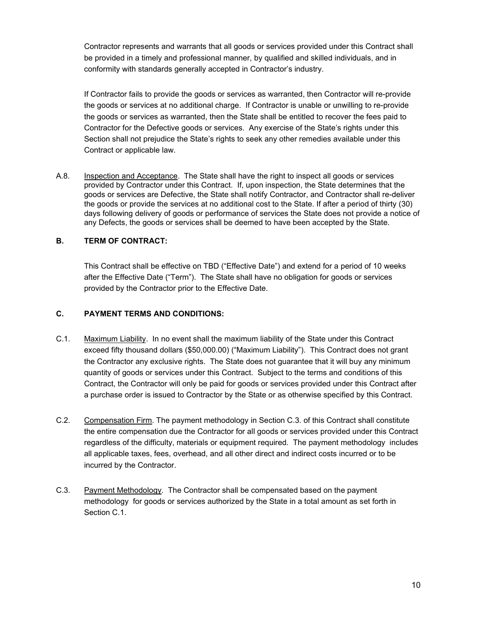Contractor represents and warrants that all goods or services provided under this Contract shall be provided in a timely and professional manner, by qualified and skilled individuals, and in conformity with standards generally accepted in Contractor's industry.

If Contractor fails to provide the goods or services as warranted, then Contractor will re-provide the goods or services at no additional charge. If Contractor is unable or unwilling to re-provide the goods or services as warranted, then the State shall be entitled to recover the fees paid to Contractor for the Defective goods or services. Any exercise of the State's rights under this Section shall not prejudice the State's rights to seek any other remedies available under this Contract or applicable law.

A.8. Inspection and Acceptance. The State shall have the right to inspect all goods or services provided by Contractor under this Contract. If, upon inspection, the State determines that the goods or services are Defective, the State shall notify Contractor, and Contractor shall re-deliver the goods or provide the services at no additional cost to the State. If after a period of thirty (30) days following delivery of goods or performance of services the State does not provide a notice of any Defects, the goods or services shall be deemed to have been accepted by the State.

### **B. TERM OF CONTRACT:**

This Contract shall be effective on TBD ("Effective Date") and extend for a period of 10 weeks after the Effective Date ("Term"). The State shall have no obligation for goods or services provided by the Contractor prior to the Effective Date.

### **C. PAYMENT TERMS AND CONDITIONS:**

- C.1. Maximum Liability. In no event shall the maximum liability of the State under this Contract exceed fifty thousand dollars (\$50,000.00) ("Maximum Liability"). This Contract does not grant the Contractor any exclusive rights. The State does not guarantee that it will buy any minimum quantity of goods or services under this Contract. Subject to the terms and conditions of this Contract, the Contractor will only be paid for goods or services provided under this Contract after a purchase order is issued to Contractor by the State or as otherwise specified by this Contract.
- C.2. Compensation Firm. The payment methodology in Section C.3. of this Contract shall constitute the entire compensation due the Contractor for all goods or services provided under this Contract regardless of the difficulty, materials or equipment required. The payment methodology includes all applicable taxes, fees, overhead, and all other direct and indirect costs incurred or to be incurred by the Contractor.
- C.3. Payment Methodology. The Contractor shall be compensated based on the payment methodology for goods or services authorized by the State in a total amount as set forth in Section C.1.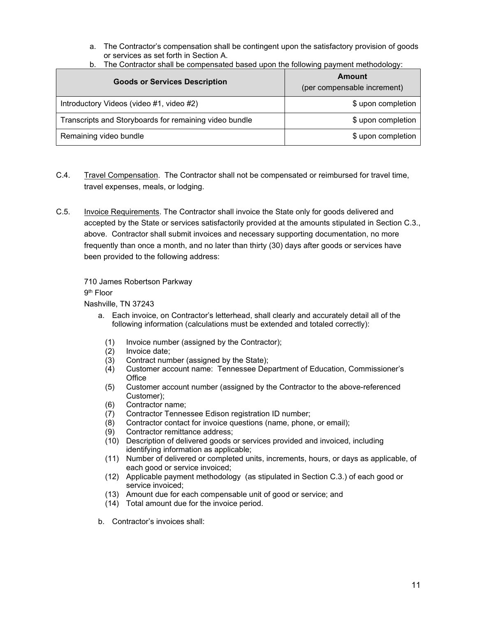a. The Contractor's compensation shall be contingent upon the satisfactory provision of goods or services as set forth in Section A.

| b. The Contractor shall be compensated based upon the following payment methodology: |  |
|--------------------------------------------------------------------------------------|--|
|--------------------------------------------------------------------------------------|--|

| <b>Goods or Services Description</b>                   | Amount<br>(per compensable increment) |
|--------------------------------------------------------|---------------------------------------|
| Introductory Videos (video #1, video #2)               | \$ upon completion                    |
| Transcripts and Storyboards for remaining video bundle | \$ upon completion                    |
| Remaining video bundle                                 | \$ upon completion                    |

- C.4. Travel Compensation. The Contractor shall not be compensated or reimbursed for travel time, travel expenses, meals, or lodging.
- C.5. Invoice Requirements. The Contractor shall invoice the State only for goods delivered and accepted by the State or services satisfactorily provided at the amounts stipulated in Section C.3., above. Contractor shall submit invoices and necessary supporting documentation, no more frequently than once a month, and no later than thirty (30) days after goods or services have been provided to the following address:

710 James Robertson Parkway

9th Floor

Nashville, TN 37243

- a. Each invoice, on Contractor's letterhead, shall clearly and accurately detail all of the following information (calculations must be extended and totaled correctly):
	- (1) Invoice number (assigned by the Contractor);
	- (2) Invoice date;
	-
	- (3) Contract number (assigned by the State);<br>(4) Customer account name: Tennessee Dep (4) Customer account name: Tennessee Department of Education, Commissioner's **Office**
	- (5) Customer account number (assigned by the Contractor to the above-referenced Customer);
	- (6) Contractor name;
	- (7) Contractor Tennessee Edison registration ID number;<br>(8) Contractor contact for invoice questions (name, phone
	- Contractor contact for invoice questions (name, phone, or email);
	- (9) Contractor remittance address;
	- (10) Description of delivered goods or services provided and invoiced, including identifying information as applicable;
	- (11) Number of delivered or completed units, increments, hours, or days as applicable, of each good or service invoiced;
	- (12) Applicable payment methodology (as stipulated in Section C.3.) of each good or service invoiced;
	- (13) Amount due for each compensable unit of good or service; and
	- (14) Total amount due for the invoice period.
- b. Contractor's invoices shall: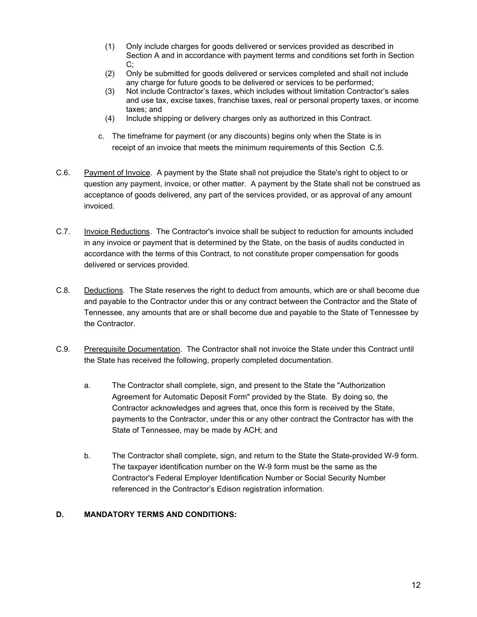- (1) Only include charges for goods delivered or services provided as described in Section A and in accordance with payment terms and conditions set forth in Section C;
- (2) Only be submitted for goods delivered or services completed and shall not include any charge for future goods to be delivered or services to be performed;
- (3) Not include Contractor's taxes, which includes without limitation Contractor's sales and use tax, excise taxes, franchise taxes, real or personal property taxes, or income taxes; and
- (4) Include shipping or delivery charges only as authorized in this Contract.
- c. The timeframe for payment (or any discounts) begins only when the State is in receipt of an invoice that meets the minimum requirements of this Section C.5.
- C.6. Payment of Invoice. A payment by the State shall not prejudice the State's right to object to or question any payment, invoice, or other matter. A payment by the State shall not be construed as acceptance of goods delivered, any part of the services provided, or as approval of any amount invoiced.
- C.7. Invoice Reductions. The Contractor's invoice shall be subject to reduction for amounts included in any invoice or payment that is determined by the State, on the basis of audits conducted in accordance with the terms of this Contract, to not constitute proper compensation for goods delivered or services provided.
- C.8. Deductions. The State reserves the right to deduct from amounts, which are or shall become due and payable to the Contractor under this or any contract between the Contractor and the State of Tennessee, any amounts that are or shall become due and payable to the State of Tennessee by the Contractor.
- C.9. Prerequisite Documentation. The Contractor shall not invoice the State under this Contract until the State has received the following, properly completed documentation.
	- a. The Contractor shall complete, sign, and present to the State the "Authorization Agreement for Automatic Deposit Form" provided by the State. By doing so, the Contractor acknowledges and agrees that, once this form is received by the State, payments to the Contractor, under this or any other contract the Contractor has with the State of Tennessee, may be made by ACH; and
	- b. The Contractor shall complete, sign, and return to the State the State-provided W-9 form. The taxpayer identification number on the W-9 form must be the same as the Contractor's Federal Employer Identification Number or Social Security Number referenced in the Contractor's Edison registration information.

#### **D. MANDATORY TERMS AND CONDITIONS:**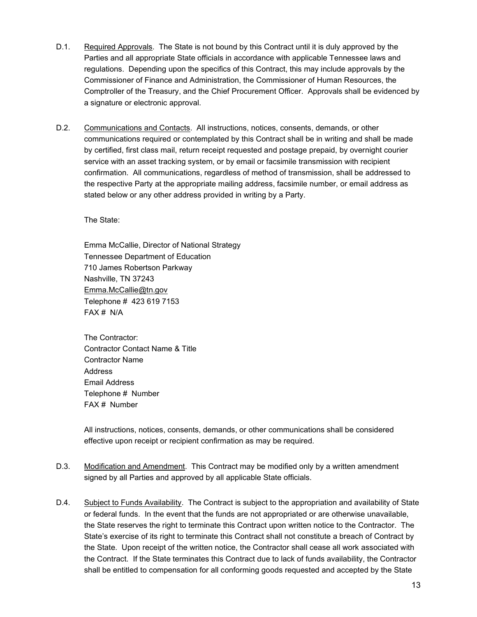- D.1. Required Approvals. The State is not bound by this Contract until it is duly approved by the Parties and all appropriate State officials in accordance with applicable Tennessee laws and regulations. Depending upon the specifics of this Contract, this may include approvals by the Commissioner of Finance and Administration, the Commissioner of Human Resources, the Comptroller of the Treasury, and the Chief Procurement Officer. Approvals shall be evidenced by a signature or electronic approval.
- D.2. Communications and Contacts. All instructions, notices, consents, demands, or other communications required or contemplated by this Contract shall be in writing and shall be made by certified, first class mail, return receipt requested and postage prepaid, by overnight courier service with an asset tracking system, or by email or facsimile transmission with recipient confirmation. All communications, regardless of method of transmission, shall be addressed to the respective Party at the appropriate mailing address, facsimile number, or email address as stated below or any other address provided in writing by a Party.

The State:

Emma McCallie, Director of National Strategy Tennessee Department of Education 710 James Robertson Parkway Nashville, TN 37243 [Emma.McCallie@tn.gov](mailto:Emma.McCallie@tn.gov) Telephone # 423 619 7153 FAX # N/A

The Contractor: Contractor Contact Name & Title Contractor Name **Address** Email Address Telephone # Number FAX # Number

All instructions, notices, consents, demands, or other communications shall be considered effective upon receipt or recipient confirmation as may be required.

- D.3. Modification and Amendment. This Contract may be modified only by a written amendment signed by all Parties and approved by all applicable State officials.
- D.4. Subject to Funds Availability. The Contract is subject to the appropriation and availability of State or federal funds. In the event that the funds are not appropriated or are otherwise unavailable, the State reserves the right to terminate this Contract upon written notice to the Contractor. The State's exercise of its right to terminate this Contract shall not constitute a breach of Contract by the State. Upon receipt of the written notice, the Contractor shall cease all work associated with the Contract. If the State terminates this Contract due to lack of funds availability, the Contractor shall be entitled to compensation for all conforming goods requested and accepted by the State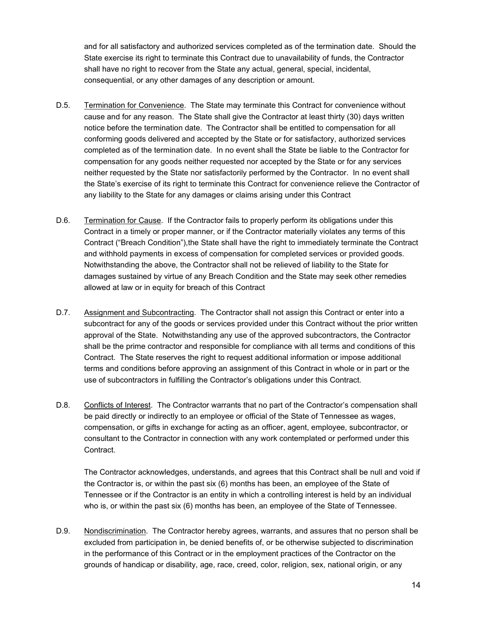and for all satisfactory and authorized services completed as of the termination date. Should the State exercise its right to terminate this Contract due to unavailability of funds, the Contractor shall have no right to recover from the State any actual, general, special, incidental, consequential, or any other damages of any description or amount.

- D.5. Termination for Convenience. The State may terminate this Contract for convenience without cause and for any reason. The State shall give the Contractor at least thirty (30) days written notice before the termination date. The Contractor shall be entitled to compensation for all conforming goods delivered and accepted by the State or for satisfactory, authorized services completed as of the termination date. In no event shall the State be liable to the Contractor for compensation for any goods neither requested nor accepted by the State or for any services neither requested by the State nor satisfactorily performed by the Contractor. In no event shall the State's exercise of its right to terminate this Contract for convenience relieve the Contractor of any liability to the State for any damages or claims arising under this Contract
- D.6. Termination for Cause. If the Contractor fails to properly perform its obligations under this Contract in a timely or proper manner, or if the Contractor materially violates any terms of this Contract ("Breach Condition"),the State shall have the right to immediately terminate the Contract and withhold payments in excess of compensation for completed services or provided goods. Notwithstanding the above, the Contractor shall not be relieved of liability to the State for damages sustained by virtue of any Breach Condition and the State may seek other remedies allowed at law or in equity for breach of this Contract
- D.7. Assignment and Subcontracting. The Contractor shall not assign this Contract or enter into a subcontract for any of the goods or services provided under this Contract without the prior written approval of the State. Notwithstanding any use of the approved subcontractors, the Contractor shall be the prime contractor and responsible for compliance with all terms and conditions of this Contract. The State reserves the right to request additional information or impose additional terms and conditions before approving an assignment of this Contract in whole or in part or the use of subcontractors in fulfilling the Contractor's obligations under this Contract.
- D.8. Conflicts of Interest. The Contractor warrants that no part of the Contractor's compensation shall be paid directly or indirectly to an employee or official of the State of Tennessee as wages, compensation, or gifts in exchange for acting as an officer, agent, employee, subcontractor, or consultant to the Contractor in connection with any work contemplated or performed under this Contract.

The Contractor acknowledges, understands, and agrees that this Contract shall be null and void if the Contractor is, or within the past six (6) months has been, an employee of the State of Tennessee or if the Contractor is an entity in which a controlling interest is held by an individual who is, or within the past six (6) months has been, an employee of the State of Tennessee.

D.9. Nondiscrimination. The Contractor hereby agrees, warrants, and assures that no person shall be excluded from participation in, be denied benefits of, or be otherwise subjected to discrimination in the performance of this Contract or in the employment practices of the Contractor on the grounds of handicap or disability, age, race, creed, color, religion, sex, national origin, or any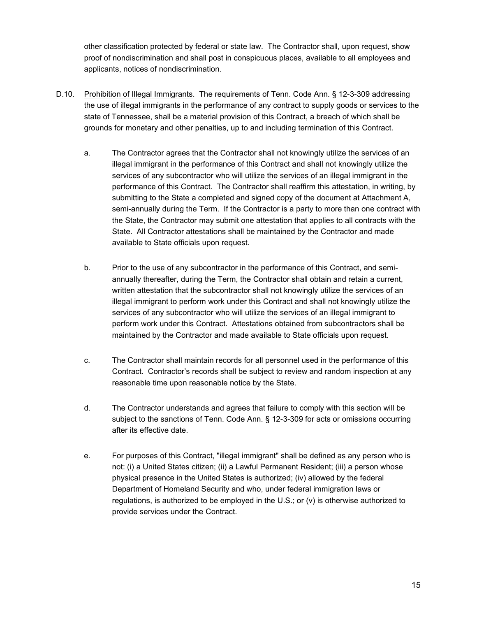other classification protected by federal or state law. The Contractor shall, upon request, show proof of nondiscrimination and shall post in conspicuous places, available to all employees and applicants, notices of nondiscrimination.

- D.10. Prohibition of Illegal Immigrants. The requirements of Tenn. Code Ann. § 12-3-309 addressing the use of illegal immigrants in the performance of any contract to supply goods or services to the state of Tennessee, shall be a material provision of this Contract, a breach of which shall be grounds for monetary and other penalties, up to and including termination of this Contract.
	- a. The Contractor agrees that the Contractor shall not knowingly utilize the services of an illegal immigrant in the performance of this Contract and shall not knowingly utilize the services of any subcontractor who will utilize the services of an illegal immigrant in the performance of this Contract. The Contractor shall reaffirm this attestation, in writing, by submitting to the State a completed and signed copy of the document at Attachment A, semi-annually during the Term. If the Contractor is a party to more than one contract with the State, the Contractor may submit one attestation that applies to all contracts with the State. All Contractor attestations shall be maintained by the Contractor and made available to State officials upon request.
	- b. Prior to the use of any subcontractor in the performance of this Contract, and semiannually thereafter, during the Term, the Contractor shall obtain and retain a current, written attestation that the subcontractor shall not knowingly utilize the services of an illegal immigrant to perform work under this Contract and shall not knowingly utilize the services of any subcontractor who will utilize the services of an illegal immigrant to perform work under this Contract. Attestations obtained from subcontractors shall be maintained by the Contractor and made available to State officials upon request.
	- c. The Contractor shall maintain records for all personnel used in the performance of this Contract. Contractor's records shall be subject to review and random inspection at any reasonable time upon reasonable notice by the State.
	- d. The Contractor understands and agrees that failure to comply with this section will be subject to the sanctions of Tenn. Code Ann. § 12-3-309 for acts or omissions occurring after its effective date.
	- e. For purposes of this Contract, "illegal immigrant" shall be defined as any person who is not: (i) a United States citizen; (ii) a Lawful Permanent Resident; (iii) a person whose physical presence in the United States is authorized; (iv) allowed by the federal Department of Homeland Security and who, under federal immigration laws or regulations, is authorized to be employed in the U.S.; or (v) is otherwise authorized to provide services under the Contract.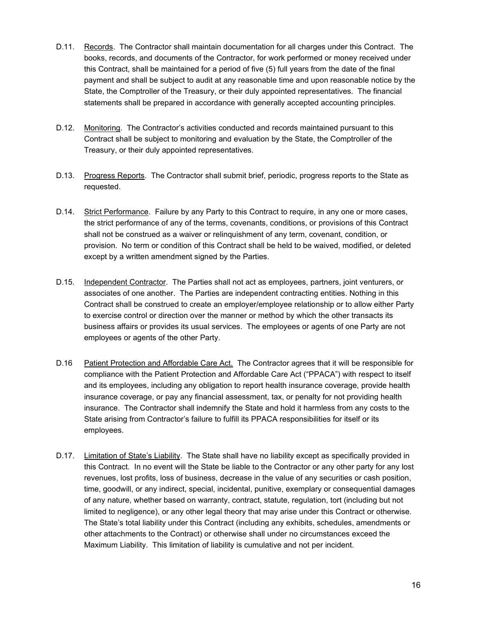- D.11. Records. The Contractor shall maintain documentation for all charges under this Contract. The books, records, and documents of the Contractor, for work performed or money received under this Contract, shall be maintained for a period of five (5) full years from the date of the final payment and shall be subject to audit at any reasonable time and upon reasonable notice by the State, the Comptroller of the Treasury, or their duly appointed representatives. The financial statements shall be prepared in accordance with generally accepted accounting principles.
- D.12. Monitoring. The Contractor's activities conducted and records maintained pursuant to this Contract shall be subject to monitoring and evaluation by the State, the Comptroller of the Treasury, or their duly appointed representatives.
- D.13. Progress Reports. The Contractor shall submit brief, periodic, progress reports to the State as requested.
- D.14. Strict Performance. Failure by any Party to this Contract to require, in any one or more cases, the strict performance of any of the terms, covenants, conditions, or provisions of this Contract shall not be construed as a waiver or relinquishment of any term, covenant, condition, or provision. No term or condition of this Contract shall be held to be waived, modified, or deleted except by a written amendment signed by the Parties.
- D.15. Independent Contractor. The Parties shall not act as employees, partners, joint venturers, or associates of one another. The Parties are independent contracting entities. Nothing in this Contract shall be construed to create an employer/employee relationship or to allow either Party to exercise control or direction over the manner or method by which the other transacts its business affairs or provides its usual services. The employees or agents of one Party are not employees or agents of the other Party.
- D.16 Patient Protection and Affordable Care Act. The Contractor agrees that it will be responsible for compliance with the Patient Protection and Affordable Care Act ("PPACA") with respect to itself and its employees, including any obligation to report health insurance coverage, provide health insurance coverage, or pay any financial assessment, tax, or penalty for not providing health insurance. The Contractor shall indemnify the State and hold it harmless from any costs to the State arising from Contractor's failure to fulfill its PPACA responsibilities for itself or its employees.
- D.17. Limitation of State's Liability. The State shall have no liability except as specifically provided in this Contract. In no event will the State be liable to the Contractor or any other party for any lost revenues, lost profits, loss of business, decrease in the value of any securities or cash position, time, goodwill, or any indirect, special, incidental, punitive, exemplary or consequential damages of any nature, whether based on warranty, contract, statute, regulation, tort (including but not limited to negligence), or any other legal theory that may arise under this Contract or otherwise. The State's total liability under this Contract (including any exhibits, schedules, amendments or other attachments to the Contract) or otherwise shall under no circumstances exceed the Maximum Liability. This limitation of liability is cumulative and not per incident.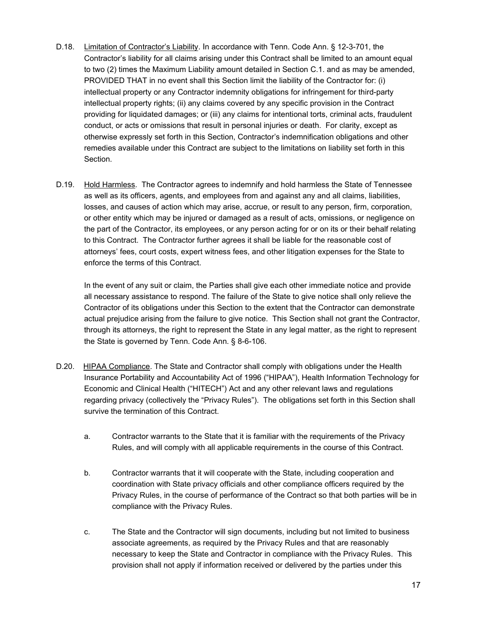- D.18. Limitation of Contractor's Liability. In accordance with Tenn. Code Ann. § 12-3-701, the Contractor's liability for all claims arising under this Contract shall be limited to an amount equal to two (2) times the Maximum Liability amount detailed in Section C.1. and as may be amended, PROVIDED THAT in no event shall this Section limit the liability of the Contractor for: (i) intellectual property or any Contractor indemnity obligations for infringement for third-party intellectual property rights; (ii) any claims covered by any specific provision in the Contract providing for liquidated damages; or (iii) any claims for intentional torts, criminal acts, fraudulent conduct, or acts or omissions that result in personal injuries or death. For clarity, except as otherwise expressly set forth in this Section, Contractor's indemnification obligations and other remedies available under this Contract are subject to the limitations on liability set forth in this Section.
- D.19. Hold Harmless. The Contractor agrees to indemnify and hold harmless the State of Tennessee as well as its officers, agents, and employees from and against any and all claims, liabilities, losses, and causes of action which may arise, accrue, or result to any person, firm, corporation, or other entity which may be injured or damaged as a result of acts, omissions, or negligence on the part of the Contractor, its employees, or any person acting for or on its or their behalf relating to this Contract. The Contractor further agrees it shall be liable for the reasonable cost of attorneys' fees, court costs, expert witness fees, and other litigation expenses for the State to enforce the terms of this Contract.

In the event of any suit or claim, the Parties shall give each other immediate notice and provide all necessary assistance to respond. The failure of the State to give notice shall only relieve the Contractor of its obligations under this Section to the extent that the Contractor can demonstrate actual prejudice arising from the failure to give notice. This Section shall not grant the Contractor, through its attorneys, the right to represent the State in any legal matter, as the right to represent the State is governed by Tenn. Code Ann. § 8-6-106.

- D.20. HIPAA Compliance. The State and Contractor shall comply with obligations under the Health Insurance Portability and Accountability Act of 1996 ("HIPAA"), Health Information Technology for Economic and Clinical Health ("HITECH") Act and any other relevant laws and regulations regarding privacy (collectively the "Privacy Rules"). The obligations set forth in this Section shall survive the termination of this Contract.
	- a. Contractor warrants to the State that it is familiar with the requirements of the Privacy Rules, and will comply with all applicable requirements in the course of this Contract.
	- b. Contractor warrants that it will cooperate with the State, including cooperation and coordination with State privacy officials and other compliance officers required by the Privacy Rules, in the course of performance of the Contract so that both parties will be in compliance with the Privacy Rules.
	- c. The State and the Contractor will sign documents, including but not limited to business associate agreements, as required by the Privacy Rules and that are reasonably necessary to keep the State and Contractor in compliance with the Privacy Rules. This provision shall not apply if information received or delivered by the parties under this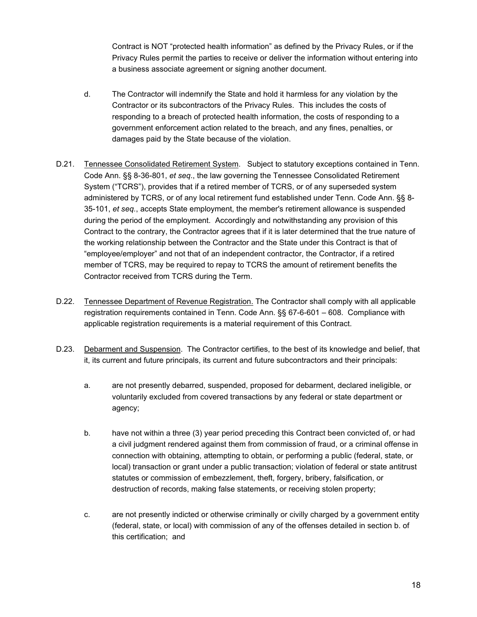Contract is NOT "protected health information" as defined by the Privacy Rules, or if the Privacy Rules permit the parties to receive or deliver the information without entering into a business associate agreement or signing another document.

- d. The Contractor will indemnify the State and hold it harmless for any violation by the Contractor or its subcontractors of the Privacy Rules. This includes the costs of responding to a breach of protected health information, the costs of responding to a government enforcement action related to the breach, and any fines, penalties, or damages paid by the State because of the violation.
- D.21. Tennessee Consolidated Retirement System. Subject to statutory exceptions contained in Tenn. Code Ann. §§ 8-36-801, *et seq*., the law governing the Tennessee Consolidated Retirement System ("TCRS"), provides that if a retired member of TCRS, or of any superseded system administered by TCRS, or of any local retirement fund established under Tenn. Code Ann. §§ 8- 35-101, *et seq.*, accepts State employment, the member's retirement allowance is suspended during the period of the employment. Accordingly and notwithstanding any provision of this Contract to the contrary, the Contractor agrees that if it is later determined that the true nature of the working relationship between the Contractor and the State under this Contract is that of "employee/employer" and not that of an independent contractor, the Contractor, if a retired member of TCRS, may be required to repay to TCRS the amount of retirement benefits the Contractor received from TCRS during the Term.
- D.22. Tennessee Department of Revenue Registration. The Contractor shall comply with all applicable registration requirements contained in Tenn. Code Ann. §§ 67-6-601 – 608. Compliance with applicable registration requirements is a material requirement of this Contract.
- D.23. Debarment and Suspension. The Contractor certifies, to the best of its knowledge and belief, that it, its current and future principals, its current and future subcontractors and their principals:
	- a. are not presently debarred, suspended, proposed for debarment, declared ineligible, or voluntarily excluded from covered transactions by any federal or state department or agency;
	- b. have not within a three (3) year period preceding this Contract been convicted of, or had a civil judgment rendered against them from commission of fraud, or a criminal offense in connection with obtaining, attempting to obtain, or performing a public (federal, state, or local) transaction or grant under a public transaction; violation of federal or state antitrust statutes or commission of embezzlement, theft, forgery, bribery, falsification, or destruction of records, making false statements, or receiving stolen property;
	- c. are not presently indicted or otherwise criminally or civilly charged by a government entity (federal, state, or local) with commission of any of the offenses detailed in section b. of this certification; and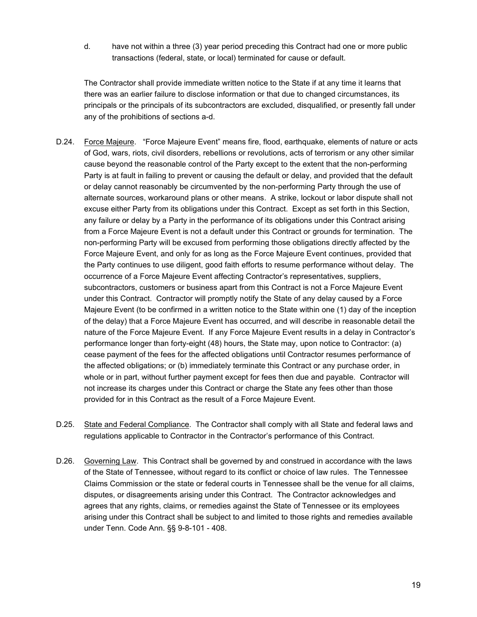d. have not within a three (3) year period preceding this Contract had one or more public transactions (federal, state, or local) terminated for cause or default.

The Contractor shall provide immediate written notice to the State if at any time it learns that there was an earlier failure to disclose information or that due to changed circumstances, its principals or the principals of its subcontractors are excluded, disqualified, or presently fall under any of the prohibitions of sections a-d.

- D.24. Force Majeure. "Force Majeure Event" means fire, flood, earthquake, elements of nature or acts of God, wars, riots, civil disorders, rebellions or revolutions, acts of terrorism or any other similar cause beyond the reasonable control of the Party except to the extent that the non-performing Party is at fault in failing to prevent or causing the default or delay, and provided that the default or delay cannot reasonably be circumvented by the non-performing Party through the use of alternate sources, workaround plans or other means. A strike, lockout or labor dispute shall not excuse either Party from its obligations under this Contract. Except as set forth in this Section, any failure or delay by a Party in the performance of its obligations under this Contract arising from a Force Majeure Event is not a default under this Contract or grounds for termination. The non-performing Party will be excused from performing those obligations directly affected by the Force Majeure Event, and only for as long as the Force Majeure Event continues, provided that the Party continues to use diligent, good faith efforts to resume performance without delay. The occurrence of a Force Majeure Event affecting Contractor's representatives, suppliers, subcontractors, customers or business apart from this Contract is not a Force Majeure Event under this Contract. Contractor will promptly notify the State of any delay caused by a Force Majeure Event (to be confirmed in a written notice to the State within one (1) day of the inception of the delay) that a Force Majeure Event has occurred, and will describe in reasonable detail the nature of the Force Majeure Event. If any Force Majeure Event results in a delay in Contractor's performance longer than forty-eight (48) hours, the State may, upon notice to Contractor: (a) cease payment of the fees for the affected obligations until Contractor resumes performance of the affected obligations; or (b) immediately terminate this Contract or any purchase order, in whole or in part, without further payment except for fees then due and payable. Contractor will not increase its charges under this Contract or charge the State any fees other than those provided for in this Contract as the result of a Force Majeure Event.
- D.25. State and Federal Compliance. The Contractor shall comply with all State and federal laws and regulations applicable to Contractor in the Contractor's performance of this Contract.
- D.26. Governing Law. This Contract shall be governed by and construed in accordance with the laws of the State of Tennessee, without regard to its conflict or choice of law rules. The Tennessee Claims Commission or the state or federal courts in Tennessee shall be the venue for all claims, disputes, or disagreements arising under this Contract. The Contractor acknowledges and agrees that any rights, claims, or remedies against the State of Tennessee or its employees arising under this Contract shall be subject to and limited to those rights and remedies available under Tenn. Code Ann. §§ 9-8-101 - 408.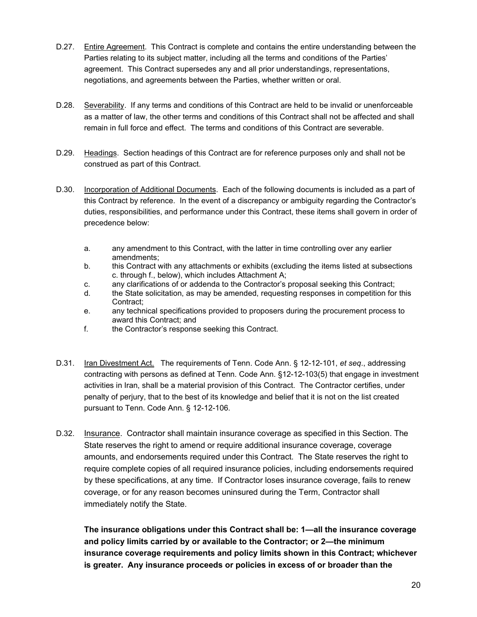- D.27. Entire Agreement. This Contract is complete and contains the entire understanding between the Parties relating to its subject matter, including all the terms and conditions of the Parties' agreement. This Contract supersedes any and all prior understandings, representations, negotiations, and agreements between the Parties, whether written or oral.
- D.28. Severability. If any terms and conditions of this Contract are held to be invalid or unenforceable as a matter of law, the other terms and conditions of this Contract shall not be affected and shall remain in full force and effect. The terms and conditions of this Contract are severable.
- D.29. Headings. Section headings of this Contract are for reference purposes only and shall not be construed as part of this Contract.
- D.30. Incorporation of Additional Documents. Each of the following documents is included as a part of this Contract by reference. In the event of a discrepancy or ambiguity regarding the Contractor's duties, responsibilities, and performance under this Contract, these items shall govern in order of precedence below:
	- a. any amendment to this Contract, with the latter in time controlling over any earlier amendments;
	- b. this Contract with any attachments or exhibits (excluding the items listed at subsections c. through f., below), which includes Attachment A;
	- c. any clarifications of or addenda to the Contractor's proposal seeking this Contract;
	- d. the State solicitation, as may be amended, requesting responses in competition for this Contract;
	- e. any technical specifications provided to proposers during the procurement process to award this Contract; and
	- f. the Contractor's response seeking this Contract.
- D.31. Iran Divestment Act. The requirements of Tenn. Code Ann. § 12-12-101, *et seq*., addressing contracting with persons as defined at Tenn. Code Ann. §12-12-103(5) that engage in investment activities in Iran, shall be a material provision of this Contract. The Contractor certifies, under penalty of perjury, that to the best of its knowledge and belief that it is not on the list created pursuant to Tenn. Code Ann. § 12-12-106.
- D.32. Insurance. Contractor shall maintain insurance coverage as specified in this Section. The State reserves the right to amend or require additional insurance coverage, coverage amounts, and endorsements required under this Contract. The State reserves the right to require complete copies of all required insurance policies, including endorsements required by these specifications, at any time. If Contractor loses insurance coverage, fails to renew coverage, or for any reason becomes uninsured during the Term, Contractor shall immediately notify the State.

**The insurance obligations under this Contract shall be: 1—all the insurance coverage and policy limits carried by or available to the Contractor; or 2—the minimum insurance coverage requirements and policy limits shown in this Contract; whichever is greater. Any insurance proceeds or policies in excess of or broader than the**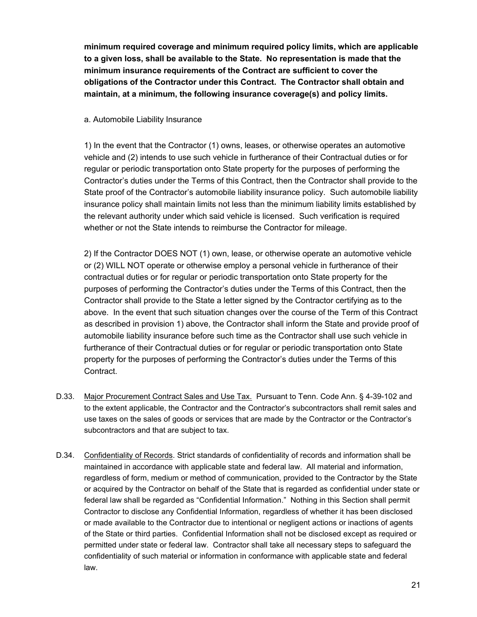**minimum required coverage and minimum required policy limits, which are applicable to a given loss, shall be available to the State. No representation is made that the minimum insurance requirements of the Contract are sufficient to cover the obligations of the Contractor under this Contract. The Contractor shall obtain and maintain, at a minimum, the following insurance coverage(s) and policy limits.**

### a. Automobile Liability Insurance

1) In the event that the Contractor (1) owns, leases, or otherwise operates an automotive vehicle and (2) intends to use such vehicle in furtherance of their Contractual duties or for regular or periodic transportation onto State property for the purposes of performing the Contractor's duties under the Terms of this Contract, then the Contractor shall provide to the State proof of the Contractor's automobile liability insurance policy. Such automobile liability insurance policy shall maintain limits not less than the minimum liability limits established by the relevant authority under which said vehicle is licensed. Such verification is required whether or not the State intends to reimburse the Contractor for mileage.

2) If the Contractor DOES NOT (1) own, lease, or otherwise operate an automotive vehicle or (2) WILL NOT operate or otherwise employ a personal vehicle in furtherance of their contractual duties or for regular or periodic transportation onto State property for the purposes of performing the Contractor's duties under the Terms of this Contract, then the Contractor shall provide to the State a letter signed by the Contractor certifying as to the above. In the event that such situation changes over the course of the Term of this Contract as described in provision 1) above, the Contractor shall inform the State and provide proof of automobile liability insurance before such time as the Contractor shall use such vehicle in furtherance of their Contractual duties or for regular or periodic transportation onto State property for the purposes of performing the Contractor's duties under the Terms of this Contract.

- D.33. Major Procurement Contract Sales and Use Tax. Pursuant to Tenn. Code Ann. § 4-39-102 and to the extent applicable, the Contractor and the Contractor's subcontractors shall remit sales and use taxes on the sales of goods or services that are made by the Contractor or the Contractor's subcontractors and that are subject to tax.
- D.34. Confidentiality of Records. Strict standards of confidentiality of records and information shall be maintained in accordance with applicable state and federal law. All material and information, regardless of form, medium or method of communication, provided to the Contractor by the State or acquired by the Contractor on behalf of the State that is regarded as confidential under state or federal law shall be regarded as "Confidential Information." Nothing in this Section shall permit Contractor to disclose any Confidential Information, regardless of whether it has been disclosed or made available to the Contractor due to intentional or negligent actions or inactions of agents of the State or third parties. Confidential Information shall not be disclosed except as required or permitted under state or federal law. Contractor shall take all necessary steps to safeguard the confidentiality of such material or information in conformance with applicable state and federal law.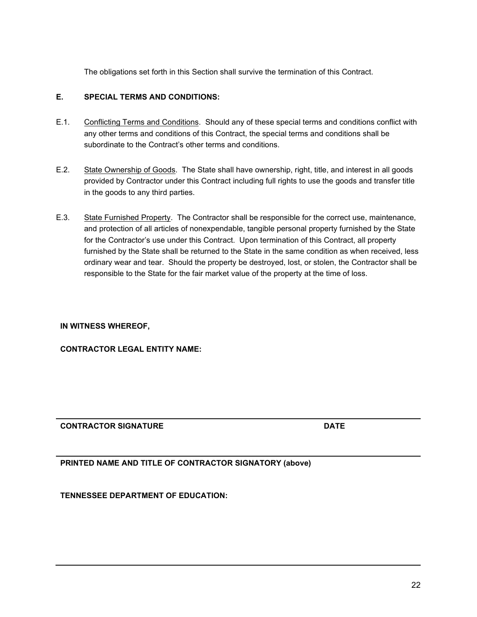The obligations set forth in this Section shall survive the termination of this Contract.

### **E. SPECIAL TERMS AND CONDITIONS:**

- E.1. Conflicting Terms and Conditions. Should any of these special terms and conditions conflict with any other terms and conditions of this Contract, the special terms and conditions shall be subordinate to the Contract's other terms and conditions.
- E.2. State Ownership of Goods. The State shall have ownership, right, title, and interest in all goods provided by Contractor under this Contract including full rights to use the goods and transfer title in the goods to any third parties.
- E.3. State Furnished Property. The Contractor shall be responsible for the correct use, maintenance, and protection of all articles of nonexpendable, tangible personal property furnished by the State for the Contractor's use under this Contract. Upon termination of this Contract, all property furnished by the State shall be returned to the State in the same condition as when received, less ordinary wear and tear. Should the property be destroyed, lost, or stolen, the Contractor shall be responsible to the State for the fair market value of the property at the time of loss.

#### **IN WITNESS WHEREOF,**

**CONTRACTOR LEGAL ENTITY NAME:**

**CONTRACTOR SIGNATURE DATE**

**PRINTED NAME AND TITLE OF CONTRACTOR SIGNATORY (above)** 

**TENNESSEE DEPARTMENT OF EDUCATION:**